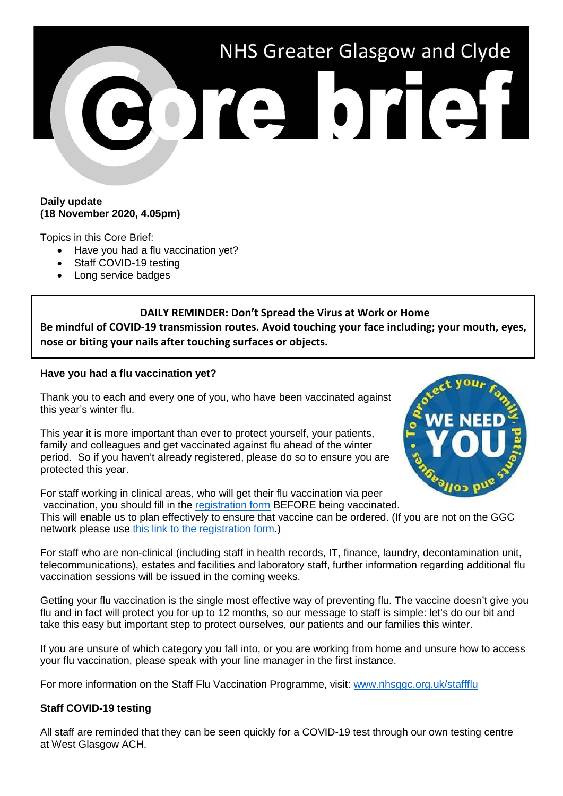# NHS Greater Glasgow and Clyde ore brief

### **Daily update (18 November 2020, 4.05pm)**

Topics in this Core Brief:

- Have you had a flu vaccination yet?
- Staff COVID-19 testing
- Long service badges

# **DAILY REMINDER: Don't Spread the Virus at Work or Home**

**Be mindful of COVID-19 transmission routes. Avoid touching your face including; your mouth, eyes, nose or biting your nails after touching surfaces or objects.** 

## **Have you had a flu vaccination yet?**

Thank you to each and every one of you, who have been vaccinated against this year's winter flu.

This year it is more important than ever to protect yourself, your patients, family and colleagues and get vaccinated against flu ahead of the winter period. So if you haven't already registered, please do so to ensure you are protected this year.

For staff working in clinical areas, who will get their flu vaccination via peer vaccination, you should fill in the [registration form](https://ggcflu.azurewebsites.net/) BEFORE being vaccinated. This will enable us to plan effectively to ensure that vaccine can be ordered. (If you are not on the GGC network please use [this link to the registration form.](https://forms.office.com/Pages/ResponsePage.aspx?id=veDvEDCgykuAnLXmdF5JmgW9YoY5w-BDlHK7ghonYUBUM0VUN0ExSFI4UkZaRFlKREFJTlZWTDhaOSQlQCN0PWcu))

For staff who are non-clinical (including staff in health records, IT, finance, laundry, decontamination unit, telecommunications), estates and facilities and laboratory staff, further information regarding additional flu vaccination sessions will be issued in the coming weeks.

Getting your flu vaccination is the single most effective way of preventing flu. The vaccine doesn't give you flu and in fact will protect you for up to 12 months, so our message to staff is simple: let's do our bit and take this easy but important step to protect ourselves, our patients and our families this winter.

If you are unsure of which category you fall into, or you are working from home and unsure how to access your flu vaccination, please speak with your line manager in the first instance.

For more information on the Staff Flu Vaccination Programme, visit: [www.nhsggc.org.uk/staffflu](http://www.nhsggc.org.uk/staffflu)

## **Staff COVID-19 testing**

All staff are reminded that they can be seen quickly for a COVID-19 test through our own testing centre at West Glasgow ACH.